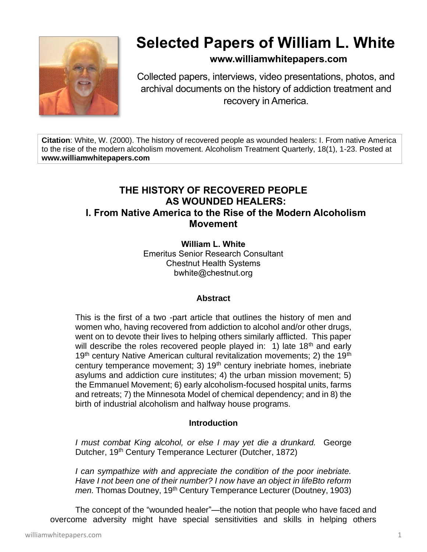

# **Selected Papers of William L. White**

**www.williamwhitepapers.com**

Collected papers, interviews, video presentations, photos, and archival documents on the history of addiction treatment and recovery in America.

**Citation**: White, W. (2000). The history of recovered people as wounded healers: I. From native America to the rise of the modern alcoholism movement. Alcoholism Treatment Quarterly, 18(1), 1-23. Posted at **www.williamwhitepapers.com**

# **THE HISTORY OF RECOVERED PEOPLE AS WOUNDED HEALERS: I. From Native America to the Rise of the Modern Alcoholism Movement**

**William L. White** Emeritus Senior Research Consultant Chestnut Health Systems bwhite@chestnut.org

# **Abstract**

This is the first of a two -part article that outlines the history of men and women who, having recovered from addiction to alcohol and/or other drugs, went on to devote their lives to helping others similarly afflicted. This paper will describe the roles recovered people played in: 1) late  $18<sup>th</sup>$  and early  $19<sup>th</sup>$  century Native American cultural revitalization movements; 2) the  $19<sup>th</sup>$ century temperance movement; 3) 19th century inebriate homes, inebriate asylums and addiction cure institutes; 4) the urban mission movement; 5) the Emmanuel Movement; 6) early alcoholism-focused hospital units, farms and retreats; 7) the Minnesota Model of chemical dependency; and in 8) the birth of industrial alcoholism and halfway house programs.

# **Introduction**

*I must combat King alcohol, or else I may yet die a drunkard.* George Dutcher, 19<sup>th</sup> Century Temperance Lecturer (Dutcher, 1872)

*I can sympathize with and appreciate the condition of the poor inebriate. Have I not been one of their number? I now have an object in lifeBto reform men.* Thomas Doutney, 19<sup>th</sup> Century Temperance Lecturer (Doutney, 1903)

The concept of the "wounded healer"—the notion that people who have faced and overcome adversity might have special sensitivities and skills in helping others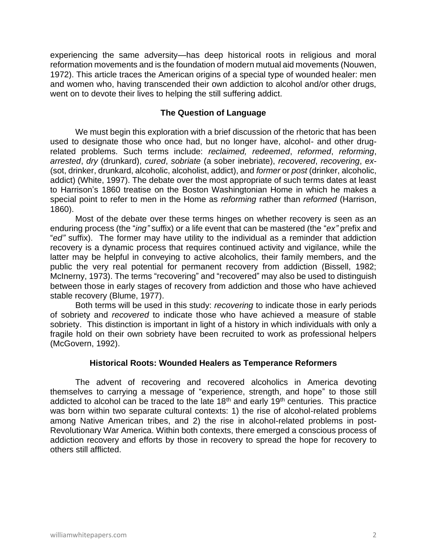experiencing the same adversity—has deep historical roots in religious and moral reformation movements and is the foundation of modern mutual aid movements (Nouwen, 1972). This article traces the American origins of a special type of wounded healer: men and women who, having transcended their own addiction to alcohol and/or other drugs, went on to devote their lives to helping the still suffering addict.

# **The Question of Language**

We must begin this exploration with a brief discussion of the rhetoric that has been used to designate those who once had, but no longer have, alcohol- and other drugrelated problems. Such terms include: *reclaimed, redeemed*, *reformed*, *reforming*, *arrested*, *dry* (drunkard), *cured*, *sobriate* (a sober inebriate), *recovered*, *recovering*, *ex*- (sot, drinker, drunkard, alcoholic, alcoholist, addict), and *former* or *post* (drinker, alcoholic, addict) (White, 1997). The debate over the most appropriate of such terms dates at least to Harrison's 1860 treatise on the Boston Washingtonian Home in which he makes a special point to refer to men in the Home as *reforming* rather than *reformed* (Harrison, 1860).

Most of the debate over these terms hinges on whether recovery is seen as an enduring process (the "*ing"* suffix) or a life event that can be mastered (the "*ex"* prefix and "*ed"* suffix). The former may have utility to the individual as a reminder that addiction recovery is a dynamic process that requires continued activity and vigilance, while the latter may be helpful in conveying to active alcoholics, their family members, and the public the very real potential for permanent recovery from addiction (Bissell, 1982; McInerny, 1973). The terms "recovering" and "recovered" may also be used to distinguish between those in early stages of recovery from addiction and those who have achieved stable recovery (Blume, 1977).

Both terms will be used in this study: *recovering* to indicate those in early periods of sobriety and *recovered* to indicate those who have achieved a measure of stable sobriety. This distinction is important in light of a history in which individuals with only a fragile hold on their own sobriety have been recruited to work as professional helpers (McGovern, 1992).

# **Historical Roots: Wounded Healers as Temperance Reformers**

The advent of recovering and recovered alcoholics in America devoting themselves to carrying a message of "experience, strength, and hope" to those still addicted to alcohol can be traced to the late 18<sup>th</sup> and early 19<sup>th</sup> centuries. This practice was born within two separate cultural contexts: 1) the rise of alcohol-related problems among Native American tribes, and 2) the rise in alcohol-related problems in post-Revolutionary War America. Within both contexts, there emerged a conscious process of addiction recovery and efforts by those in recovery to spread the hope for recovery to others still afflicted.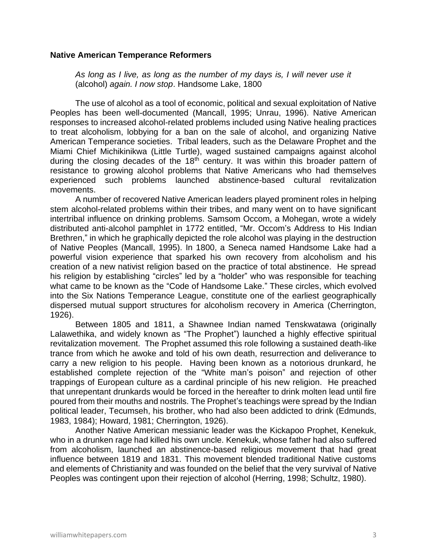#### **Native American Temperance Reformers**

*As long as I live, as long as the number of my days is, I will never use it* (alcohol) *again. I now stop*. Handsome Lake, 1800

The use of alcohol as a tool of economic, political and sexual exploitation of Native Peoples has been well-documented (Mancall, 1995; Unrau, 1996). Native American responses to increased alcohol-related problems included using Native healing practices to treat alcoholism, lobbying for a ban on the sale of alcohol, and organizing Native American Temperance societies. Tribal leaders, such as the Delaware Prophet and the Miami Chief Michikinikwa (Little Turtle), waged sustained campaigns against alcohol during the closing decades of the  $18<sup>th</sup>$  century. It was within this broader pattern of resistance to growing alcohol problems that Native Americans who had themselves experienced such problems launched abstinence-based cultural revitalization movements.

A number of recovered Native American leaders played prominent roles in helping stem alcohol-related problems within their tribes, and many went on to have significant intertribal influence on drinking problems. Samsom Occom, a Mohegan, wrote a widely distributed anti-alcohol pamphlet in 1772 entitled, "Mr. Occom's Address to His Indian Brethren," in which he graphically depicted the role alcohol was playing in the destruction of Native Peoples (Mancall, 1995). In 1800, a Seneca named Handsome Lake had a powerful vision experience that sparked his own recovery from alcoholism and his creation of a new nativist religion based on the practice of total abstinence. He spread his religion by establishing "circles" led by a "holder" who was responsible for teaching what came to be known as the "Code of Handsome Lake." These circles, which evolved into the Six Nations Temperance League, constitute one of the earliest geographically dispersed mutual support structures for alcoholism recovery in America (Cherrington, 1926).

Between 1805 and 1811, a Shawnee Indian named Tenskwatawa (originally Lalawethika, and widely known as "The Prophet") launched a highly effective spiritual revitalization movement. The Prophet assumed this role following a sustained death-like trance from which he awoke and told of his own death, resurrection and deliverance to carry a new religion to his people. Having been known as a notorious drunkard, he established complete rejection of the "White man's poison" and rejection of other trappings of European culture as a cardinal principle of his new religion. He preached that unrepentant drunkards would be forced in the hereafter to drink molten lead until fire poured from their mouths and nostrils. The Prophet's teachings were spread by the Indian political leader, Tecumseh, his brother, who had also been addicted to drink (Edmunds, 1983, 1984); Howard, 1981; Cherrington, 1926).

Another Native American messianic leader was the Kickapoo Prophet, Kenekuk, who in a drunken rage had killed his own uncle. Kenekuk, whose father had also suffered from alcoholism, launched an abstinence-based religious movement that had great influence between 1819 and 1831. This movement blended traditional Native customs and elements of Christianity and was founded on the belief that the very survival of Native Peoples was contingent upon their rejection of alcohol (Herring, 1998; Schultz, 1980).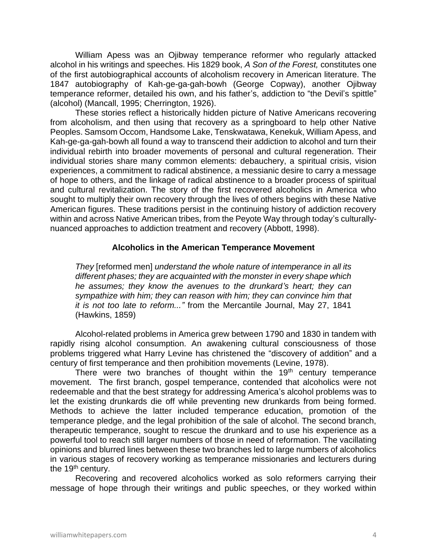William Apess was an Ojibway temperance reformer who regularly attacked alcohol in his writings and speeches. His 1829 book, *A Son of the Forest,* constitutes one of the first autobiographical accounts of alcoholism recovery in American literature. The 1847 autobiography of Kah-ge-ga-gah-bowh (George Copway), another Ojibway temperance reformer, detailed his own, and his father's, addiction to "the Devil's spittle" (alcohol) (Mancall, 1995; Cherrington, 1926).

These stories reflect a historically hidden picture of Native Americans recovering from alcoholism, and then using that recovery as a springboard to help other Native Peoples. Samsom Occom, Handsome Lake, Tenskwatawa, Kenekuk, William Apess, and Kah-ge-ga-gah-bowh all found a way to transcend their addiction to alcohol and turn their individual rebirth into broader movements of personal and cultural regeneration. Their individual stories share many common elements: debauchery, a spiritual crisis, vision experiences, a commitment to radical abstinence, a messianic desire to carry a message of hope to others, and the linkage of radical abstinence to a broader process of spiritual and cultural revitalization. The story of the first recovered alcoholics in America who sought to multiply their own recovery through the lives of others begins with these Native American figures. These traditions persist in the continuing history of addiction recovery within and across Native American tribes, from the Peyote Way through today's culturallynuanced approaches to addiction treatment and recovery (Abbott, 1998).

# **Alcoholics in the American Temperance Movement**

*They* [reformed men] *understand the whole nature of intemperance in all its different phases; they are acquainted with the monster in every shape which he assumes; they know the avenues to the drunkard's heart; they can sympathize with him; they can reason with him; they can convince him that it is not too late to reform..."* from the Mercantile Journal, May 27, 1841 (Hawkins, 1859)

Alcohol-related problems in America grew between 1790 and 1830 in tandem with rapidly rising alcohol consumption. An awakening cultural consciousness of those problems triggered what Harry Levine has christened the "discovery of addition" and a century of first temperance and then prohibition movements (Levine, 1978).

There were two branches of thought within the 19<sup>th</sup> century temperance movement. The first branch, gospel temperance, contended that alcoholics were not redeemable and that the best strategy for addressing America's alcohol problems was to let the existing drunkards die off while preventing new drunkards from being formed. Methods to achieve the latter included temperance education, promotion of the temperance pledge, and the legal prohibition of the sale of alcohol. The second branch, therapeutic temperance, sought to rescue the drunkard and to use his experience as a powerful tool to reach still larger numbers of those in need of reformation. The vacillating opinions and blurred lines between these two branches led to large numbers of alcoholics in various stages of recovery working as temperance missionaries and lecturers during the 19<sup>th</sup> century.

Recovering and recovered alcoholics worked as solo reformers carrying their message of hope through their writings and public speeches, or they worked within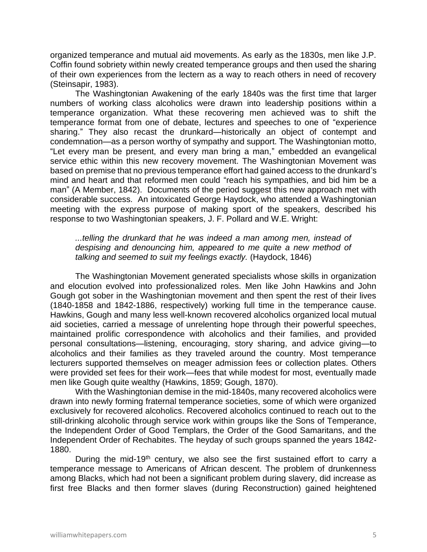organized temperance and mutual aid movements. As early as the 1830s, men like J.P. Coffin found sobriety within newly created temperance groups and then used the sharing of their own experiences from the lectern as a way to reach others in need of recovery (Steinsapir, 1983).

The Washingtonian Awakening of the early 1840s was the first time that larger numbers of working class alcoholics were drawn into leadership positions within a temperance organization. What these recovering men achieved was to shift the temperance format from one of debate, lectures and speeches to one of "experience sharing." They also recast the drunkard—historically an object of contempt and condemnation—as a person worthy of sympathy and support. The Washingtonian motto, "Let every man be present, and every man bring a man," embedded an evangelical service ethic within this new recovery movement. The Washingtonian Movement was based on premise that no previous temperance effort had gained access to the drunkard's mind and heart and that reformed men could "reach his sympathies, and bid him be a man" (A Member, 1842). Documents of the period suggest this new approach met with considerable success. An intoxicated George Haydock, who attended a Washingtonian meeting with the express purpose of making sport of the speakers, described his response to two Washingtonian speakers, J. F. Pollard and W.E. Wright:

*...telling the drunkard that he was indeed a man among men, instead of despising and denouncing him, appeared to me quite a new method of talking and seemed to suit my feelings exactly.* (Haydock, 1846)

The Washingtonian Movement generated specialists whose skills in organization and elocution evolved into professionalized roles. Men like John Hawkins and John Gough got sober in the Washingtonian movement and then spent the rest of their lives (1840-1858 and 1842-1886, respectively) working full time in the temperance cause. Hawkins, Gough and many less well-known recovered alcoholics organized local mutual aid societies, carried a message of unrelenting hope through their powerful speeches, maintained prolific correspondence with alcoholics and their families, and provided personal consultations—listening, encouraging, story sharing, and advice giving—to alcoholics and their families as they traveled around the country. Most temperance lecturers supported themselves on meager admission fees or collection plates. Others were provided set fees for their work—fees that while modest for most, eventually made men like Gough quite wealthy (Hawkins, 1859; Gough, 1870).

With the Washingtonian demise in the mid-1840s, many recovered alcoholics were drawn into newly forming fraternal temperance societies, some of which were organized exclusively for recovered alcoholics. Recovered alcoholics continued to reach out to the still-drinking alcoholic through service work within groups like the Sons of Temperance, the Independent Order of Good Templars, the Order of the Good Samaritans, and the Independent Order of Rechabites. The heyday of such groups spanned the years 1842- 1880.

During the mid-19<sup>th</sup> century, we also see the first sustained effort to carry a temperance message to Americans of African descent. The problem of drunkenness among Blacks, which had not been a significant problem during slavery, did increase as first free Blacks and then former slaves (during Reconstruction) gained heightened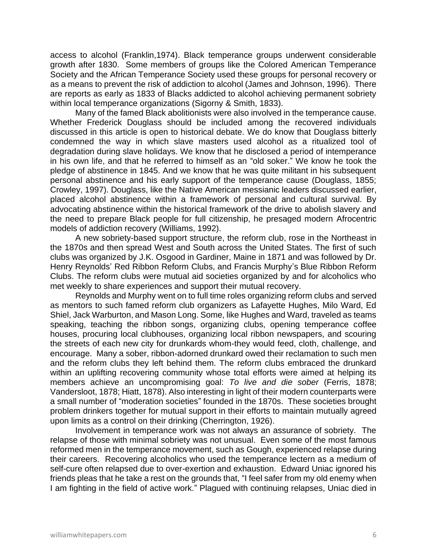access to alcohol (Franklin,1974). Black temperance groups underwent considerable growth after 1830. Some members of groups like the Colored American Temperance Society and the African Temperance Society used these groups for personal recovery or as a means to prevent the risk of addiction to alcohol (James and Johnson, 1996). There are reports as early as 1833 of Blacks addicted to alcohol achieving permanent sobriety within local temperance organizations (Sigorny & Smith, 1833).

Many of the famed Black abolitionists were also involved in the temperance cause. Whether Frederick Douglass should be included among the recovered individuals discussed in this article is open to historical debate. We do know that Douglass bitterly condemned the way in which slave masters used alcohol as a ritualized tool of degradation during slave holidays. We know that he disclosed a period of intemperance in his own life, and that he referred to himself as an "old soker." We know he took the pledge of abstinence in 1845. And we know that he was quite militant in his subsequent personal abstinence and his early support of the temperance cause (Douglass, 1855; Crowley, 1997). Douglass, like the Native American messianic leaders discussed earlier, placed alcohol abstinence within a framework of personal and cultural survival. By advocating abstinence within the historical framework of the drive to abolish slavery and the need to prepare Black people for full citizenship, he presaged modern Afrocentric models of addiction recovery (Williams, 1992).

A new sobriety-based support structure, the reform club, rose in the Northeast in the 1870s and then spread West and South across the United States. The first of such clubs was organized by J.K. Osgood in Gardiner, Maine in 1871 and was followed by Dr. Henry Reynolds' Red Ribbon Reform Clubs, and Francis Murphy's Blue Ribbon Reform Clubs. The reform clubs were mutual aid societies organized by and for alcoholics who met weekly to share experiences and support their mutual recovery.

Reynolds and Murphy went on to full time roles organizing reform clubs and served as mentors to such famed reform club organizers as Lafayette Hughes, Milo Ward, Ed Shiel, Jack Warburton, and Mason Long. Some, like Hughes and Ward, traveled as teams speaking, teaching the ribbon songs, organizing clubs, opening temperance coffee houses, procuring local clubhouses, organizing local ribbon newspapers, and scouring the streets of each new city for drunkards whom-they would feed, cloth, challenge, and encourage. Many a sober, ribbon-adorned drunkard owed their reclamation to such men and the reform clubs they left behind them. The reform clubs embraced the drunkard within an uplifting recovering community whose total efforts were aimed at helping its members achieve an uncompromising goal: *To live and die sober* (Ferris, 1878; Vandersloot, 1878; Hiatt, 1878). Also interesting in light of their modern counterparts were a small number of "moderation societies" founded in the 1870s. These societies brought problem drinkers together for mutual support in their efforts to maintain mutually agreed upon limits as a control on their drinking (Cherrington, 1926).

Involvement in temperance work was not always an assurance of sobriety. The relapse of those with minimal sobriety was not unusual. Even some of the most famous reformed men in the temperance movement, such as Gough, experienced relapse during their careers. Recovering alcoholics who used the temperance lectern as a medium of self-cure often relapsed due to over-exertion and exhaustion. Edward Uniac ignored his friends pleas that he take a rest on the grounds that, "I feel safer from my old enemy when I am fighting in the field of active work." Plagued with continuing relapses, Uniac died in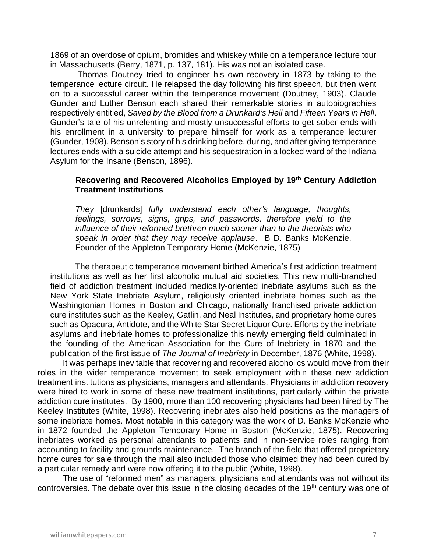1869 of an overdose of opium, bromides and whiskey while on a temperance lecture tour in Massachusetts (Berry, 1871, p. 137, 181). His was not an isolated case.

Thomas Doutney tried to engineer his own recovery in 1873 by taking to the temperance lecture circuit. He relapsed the day following his first speech, but then went on to a successful career within the temperance movement (Doutney, 1903). Claude Gunder and Luther Benson each shared their remarkable stories in autobiographies respectively entitled, *Saved by the Blood from a Drunkard's Hell* and *Fifteen Years in Hell*. Gunder's tale of his unrelenting and mostly unsuccessful efforts to get sober ends with his enrollment in a university to prepare himself for work as a temperance lecturer (Gunder, 1908). Benson's story of his drinking before, during, and after giving temperance lectures ends with a suicide attempt and his sequestration in a locked ward of the Indiana Asylum for the Insane (Benson, 1896).

# **Recovering and Recovered Alcoholics Employed by 19th Century Addiction Treatment Institutions**

*They* [drunkards] *fully understand each other's language, thoughts, feelings, sorrows, signs, grips, and passwords, therefore yield to the influence of their reformed brethren much sooner than to the theorists who speak in order that they may receive applause*. B D. Banks McKenzie, Founder of the Appleton Temporary Home (McKenzie, 1875)

The therapeutic temperance movement birthed America's first addiction treatment institutions as well as her first alcoholic mutual aid societies. This new multi-branched field of addiction treatment included medically-oriented inebriate asylums such as the New York State Inebriate Asylum, religiously oriented inebriate homes such as the Washingtonian Homes in Boston and Chicago, nationally franchised private addiction cure institutes such as the Keeley, Gatlin, and Neal Institutes, and proprietary home cures such as Opacura, Antidote, and the White Star Secret Liquor Cure. Efforts by the inebriate asylums and inebriate homes to professionalize this newly emerging field culminated in the founding of the American Association for the Cure of Inebriety in 1870 and the publication of the first issue of *The Journal of Inebriety* in December, 1876 (White, 1998).

It was perhaps inevitable that recovering and recovered alcoholics would move from their roles in the wider temperance movement to seek employment within these new addiction treatment institutions as physicians, managers and attendants. Physicians in addiction recovery were hired to work in some of these new treatment institutions, particularly within the private addiction cure institutes. By 1900, more than 100 recovering physicians had been hired by The Keeley Institutes (White, 1998). Recovering inebriates also held positions as the managers of some inebriate homes. Most notable in this category was the work of D. Banks McKenzie who in 1872 founded the Appleton Temporary Home in Boston (McKenzie, 1875). Recovering inebriates worked as personal attendants to patients and in non-service roles ranging from accounting to facility and grounds maintenance. The branch of the field that offered proprietary home cures for sale through the mail also included those who claimed they had been cured by a particular remedy and were now offering it to the public (White, 1998).

The use of "reformed men" as managers, physicians and attendants was not without its controversies. The debate over this issue in the closing decades of the 19<sup>th</sup> century was one of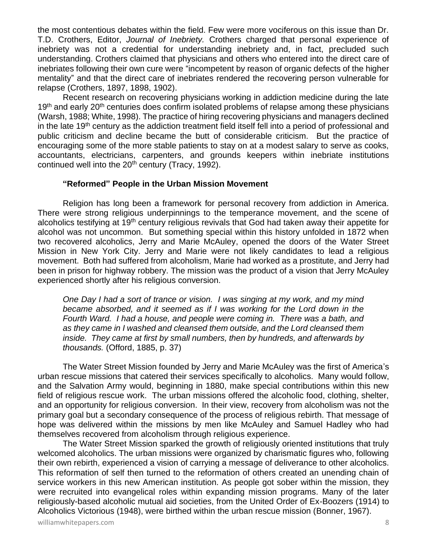the most contentious debates within the field. Few were more vociferous on this issue than Dr. T.D. Crothers, Editor, *Journal of Inebriety.* Crothers charged that personal experience of inebriety was not a credential for understanding inebriety and, in fact, precluded such understanding. Crothers claimed that physicians and others who entered into the direct care of inebriates following their own cure were "incompetent by reason of organic defects of the higher mentality" and that the direct care of inebriates rendered the recovering person vulnerable for relapse (Crothers, 1897, 1898, 1902).

Recent research on recovering physicians working in addiction medicine during the late  $19<sup>th</sup>$  and early 20<sup>th</sup> centuries does confirm isolated problems of relapse among these physicians (Warsh, 1988; White, 1998). The practice of hiring recovering physicians and managers declined in the late 19<sup>th</sup> century as the addiction treatment field itself fell into a period of professional and public criticism and decline became the butt of considerable criticism. But the practice of encouraging some of the more stable patients to stay on at a modest salary to serve as cooks, accountants, electricians, carpenters, and grounds keepers within inebriate institutions continued well into the  $20<sup>th</sup>$  century (Tracy, 1992).

#### **"Reformed" People in the Urban Mission Movement**

Religion has long been a framework for personal recovery from addiction in America. There were strong religious underpinnings to the temperance movement, and the scene of alcoholics testifying at 19th century religious revivals that God had taken away their appetite for alcohol was not uncommon. But something special within this history unfolded in 1872 when two recovered alcoholics, Jerry and Marie McAuley, opened the doors of the Water Street Mission in New York City. Jerry and Marie were not likely candidates to lead a religious movement. Both had suffered from alcoholism, Marie had worked as a prostitute, and Jerry had been in prison for highway robbery. The mission was the product of a vision that Jerry McAuley experienced shortly after his religious conversion.

*One Day I had a sort of trance or vision. I was singing at my work, and my mind became absorbed, and it seemed as if I was working for the Lord down in the Fourth Ward. I had a house, and people were coming in. There was a bath, and as they came in I washed and cleansed them outside, and the Lord cleansed them inside. They came at first by small numbers, then by hundreds, and afterwards by thousands.* (Offord, 1885, p. 37)

The Water Street Mission founded by Jerry and Marie McAuley was the first of America's urban rescue missions that catered their services specifically to alcoholics. Many would follow, and the Salvation Army would, beginning in 1880, make special contributions within this new field of religious rescue work. The urban missions offered the alcoholic food, clothing, shelter, and an opportunity for religious conversion. In their view, recovery from alcoholism was not the primary goal but a secondary consequence of the process of religious rebirth. That message of hope was delivered within the missions by men like McAuley and Samuel Hadley who had themselves recovered from alcoholism through religious experience.

The Water Street Mission sparked the growth of religiously oriented institutions that truly welcomed alcoholics. The urban missions were organized by charismatic figures who, following their own rebirth, experienced a vision of carrying a message of deliverance to other alcoholics. This reformation of self then turned to the reformation of others created an unending chain of service workers in this new American institution. As people got sober within the mission, they were recruited into evangelical roles within expanding mission programs. Many of the later religiously-based alcoholic mutual aid societies, from the United Order of Ex-Boozers (1914) to Alcoholics Victorious (1948), were birthed within the urban rescue mission (Bonner, 1967).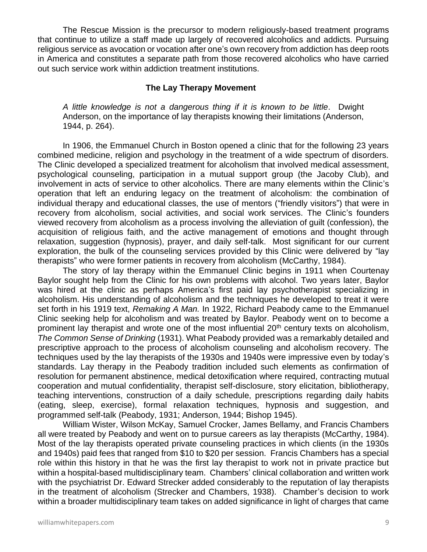The Rescue Mission is the precursor to modern religiously-based treatment programs that continue to utilize a staff made up largely of recovered alcoholics and addicts. Pursuing religious service as avocation or vocation after one's own recovery from addiction has deep roots in America and constitutes a separate path from those recovered alcoholics who have carried out such service work within addiction treatment institutions.

#### **The Lay Therapy Movement**

*A little knowledge is not a dangerous thing if it is known to be little*. Dwight Anderson, on the importance of lay therapists knowing their limitations (Anderson, 1944, p. 264).

In 1906, the Emmanuel Church in Boston opened a clinic that for the following 23 years combined medicine, religion and psychology in the treatment of a wide spectrum of disorders. The Clinic developed a specialized treatment for alcoholism that involved medical assessment, psychological counseling, participation in a mutual support group (the Jacoby Club), and involvement in acts of service to other alcoholics. There are many elements within the Clinic's operation that left an enduring legacy on the treatment of alcoholism: the combination of individual therapy and educational classes, the use of mentors ("friendly visitors") that were in recovery from alcoholism, social activities, and social work services. The Clinic's founders viewed recovery from alcoholism as a process involving the alleviation of guilt (confession), the acquisition of religious faith, and the active management of emotions and thought through relaxation, suggestion (hypnosis), prayer, and daily self-talk. Most significant for our current exploration, the bulk of the counseling services provided by this Clinic were delivered by "lay therapists" who were former patients in recovery from alcoholism (McCarthy, 1984).

The story of lay therapy within the Emmanuel Clinic begins in 1911 when Courtenay Baylor sought help from the Clinic for his own problems with alcohol. Two years later, Baylor was hired at the clinic as perhaps America's first paid lay psychotherapist specializing in alcoholism. His understanding of alcoholism and the techniques he developed to treat it were set forth in his 1919 text, *Remaking A Man.* In 1922, Richard Peabody came to the Emmanuel Clinic seeking help for alcoholism and was treated by Baylor. Peabody went on to become a prominent lay therapist and wrote one of the most influential 20<sup>th</sup> century texts on alcoholism, *The Common Sense of Drinking* (1931). What Peabody provided was a remarkably detailed and prescriptive approach to the process of alcoholism counseling and alcoholism recovery. The techniques used by the lay therapists of the 1930s and 1940s were impressive even by today's standards. Lay therapy in the Peabody tradition included such elements as confirmation of resolution for permanent abstinence, medical detoxification where required, contracting mutual cooperation and mutual confidentiality, therapist self-disclosure, story elicitation, bibliotherapy, teaching interventions, construction of a daily schedule, prescriptions regarding daily habits (eating, sleep, exercise), formal relaxation techniques, hypnosis and suggestion, and programmed self-talk (Peabody, 1931; Anderson, 1944; Bishop 1945).

William Wister, Wilson McKay, Samuel Crocker, James Bellamy, and Francis Chambers all were treated by Peabody and went on to pursue careers as lay therapists (McCarthy, 1984). Most of the lay therapists operated private counseling practices in which clients (in the 1930s and 1940s) paid fees that ranged from \$10 to \$20 per session. Francis Chambers has a special role within this history in that he was the first lay therapist to work not in private practice but within a hospital-based multidisciplinary team. Chambers' clinical collaboration and written work with the psychiatrist Dr. Edward Strecker added considerably to the reputation of lay therapists in the treatment of alcoholism (Strecker and Chambers, 1938). Chamber's decision to work within a broader multidisciplinary team takes on added significance in light of charges that came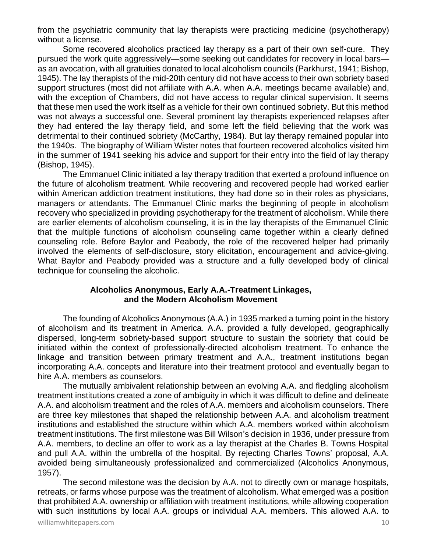from the psychiatric community that lay therapists were practicing medicine (psychotherapy) without a license.

Some recovered alcoholics practiced lay therapy as a part of their own self-cure. They pursued the work quite aggressively—some seeking out candidates for recovery in local bars as an avocation, with all gratuities donated to local alcoholism councils (Parkhurst, 1941; Bishop, 1945). The lay therapists of the mid-20th century did not have access to their own sobriety based support structures (most did not affiliate with A.A. when A.A. meetings became available) and, with the exception of Chambers, did not have access to regular clinical supervision. It seems that these men used the work itself as a vehicle for their own continued sobriety. But this method was not always a successful one. Several prominent lay therapists experienced relapses after they had entered the lay therapy field, and some left the field believing that the work was detrimental to their continued sobriety (McCarthy, 1984). But lay therapy remained popular into the 1940s. The biography of William Wister notes that fourteen recovered alcoholics visited him in the summer of 1941 seeking his advice and support for their entry into the field of lay therapy (Bishop, 1945).

The Emmanuel Clinic initiated a lay therapy tradition that exerted a profound influence on the future of alcoholism treatment. While recovering and recovered people had worked earlier within American addiction treatment institutions, they had done so in their roles as physicians, managers or attendants. The Emmanuel Clinic marks the beginning of people in alcoholism recovery who specialized in providing psychotherapy for the treatment of alcoholism. While there are earlier elements of alcoholism counseling, it is in the lay therapists of the Emmanuel Clinic that the multiple functions of alcoholism counseling came together within a clearly defined counseling role. Before Baylor and Peabody, the role of the recovered helper had primarily involved the elements of self-disclosure, story elicitation, encouragement and advice-giving. What Baylor and Peabody provided was a structure and a fully developed body of clinical technique for counseling the alcoholic.

# **Alcoholics Anonymous, Early A.A.-Treatment Linkages, and the Modern Alcoholism Movement**

The founding of Alcoholics Anonymous (A.A.) in 1935 marked a turning point in the history of alcoholism and its treatment in America. A.A. provided a fully developed, geographically dispersed, long-term sobriety-based support structure to sustain the sobriety that could be initiated within the context of professionally-directed alcoholism treatment. To enhance the linkage and transition between primary treatment and A.A., treatment institutions began incorporating A.A. concepts and literature into their treatment protocol and eventually began to hire A.A. members as counselors.

The mutually ambivalent relationship between an evolving A.A. and fledgling alcoholism treatment institutions created a zone of ambiguity in which it was difficult to define and delineate A.A. and alcoholism treatment and the roles of A.A. members and alcoholism counselors. There are three key milestones that shaped the relationship between A.A. and alcoholism treatment institutions and established the structure within which A.A. members worked within alcoholism treatment institutions. The first milestone was Bill Wilson's decision in 1936, under pressure from A.A. members, to decline an offer to work as a lay therapist at the Charles B. Towns Hospital and pull A.A. within the umbrella of the hospital. By rejecting Charles Towns' proposal, A.A. avoided being simultaneously professionalized and commercialized (Alcoholics Anonymous, 1957).

The second milestone was the decision by A.A. not to directly own or manage hospitals, retreats, or farms whose purpose was the treatment of alcoholism. What emerged was a position that prohibited A.A. ownership or affiliation with treatment institutions, while allowing cooperation with such institutions by local A.A. groups or individual A.A. members. This allowed A.A. to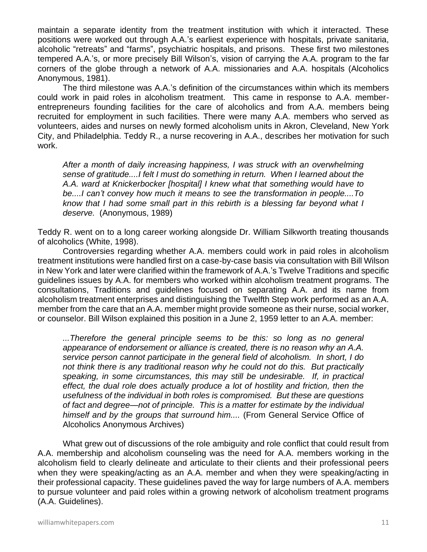maintain a separate identity from the treatment institution with which it interacted. These positions were worked out through A.A.'s earliest experience with hospitals, private sanitaria, alcoholic "retreats" and "farms", psychiatric hospitals, and prisons. These first two milestones tempered A.A.'s, or more precisely Bill Wilson's, vision of carrying the A.A. program to the far corners of the globe through a network of A.A. missionaries and A.A. hospitals (Alcoholics Anonymous, 1981).

The third milestone was A.A.'s definition of the circumstances within which its members could work in paid roles in alcoholism treatment. This came in response to A.A. memberentrepreneurs founding facilities for the care of alcoholics and from A.A. members being recruited for employment in such facilities. There were many A.A. members who served as volunteers, aides and nurses on newly formed alcoholism units in Akron, Cleveland, New York City, and Philadelphia. Teddy R., a nurse recovering in A.A., describes her motivation for such work.

*After a month of daily increasing happiness, I was struck with an overwhelming sense of gratitude....I felt I must do something in return. When I learned about the A.A. ward at Knickerbocker [hospital] I knew what that something would have to be....I can't convey how much it means to see the transformation in people....To know that I had some small part in this rebirth is a blessing far beyond what I deserve.* (Anonymous, 1989)

Teddy R. went on to a long career working alongside Dr. William Silkworth treating thousands of alcoholics (White, 1998).

Controversies regarding whether A.A. members could work in paid roles in alcoholism treatment institutions were handled first on a case-by-case basis via consultation with Bill Wilson in New York and later were clarified within the framework of A.A.'s Twelve Traditions and specific guidelines issues by A.A. for members who worked within alcoholism treatment programs. The consultations, Traditions and guidelines focused on separating A.A. and its name from alcoholism treatment enterprises and distinguishing the Twelfth Step work performed as an A.A. member from the care that an A.A. member might provide someone as their nurse, social worker, or counselor. Bill Wilson explained this position in a June 2, 1959 letter to an A.A. member:

*...Therefore the general principle seems to be this: so long as no general appearance of endorsement or alliance is created, there is no reason why an A.A. service person cannot participate in the general field of alcoholism. In short, I do not think there is any traditional reason why he could not do this. But practically speaking, in some circumstances, this may still be undesirable. If, in practical effect, the dual role does actually produce a lot of hostility and friction, then the usefulness of the individual in both roles is compromised. But these are questions of fact and degree—not of principle. This is a matter for estimate by the individual himself and by the groups that surround him....* (From General Service Office of Alcoholics Anonymous Archives)

What grew out of discussions of the role ambiguity and role conflict that could result from A.A. membership and alcoholism counseling was the need for A.A. members working in the alcoholism field to clearly delineate and articulate to their clients and their professional peers when they were speaking/acting as an A.A. member and when they were speaking/acting in their professional capacity. These guidelines paved the way for large numbers of A.A. members to pursue volunteer and paid roles within a growing network of alcoholism treatment programs (A.A. Guidelines).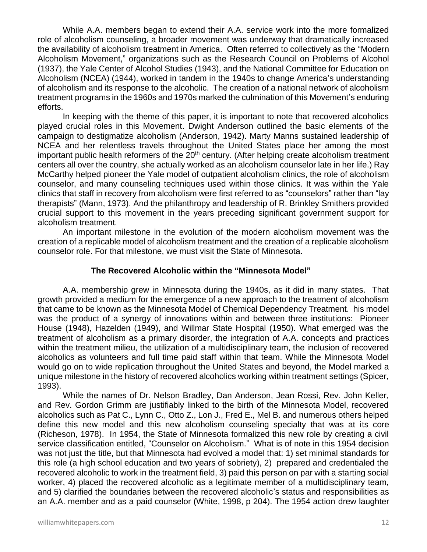While A.A. members began to extend their A.A. service work into the more formalized role of alcoholism counseling, a broader movement was underway that dramatically increased the availability of alcoholism treatment in America. Often referred to collectively as the "Modern Alcoholism Movement," organizations such as the Research Council on Problems of Alcohol (1937), the Yale Center of Alcohol Studies (1943), and the National Committee for Education on Alcoholism (NCEA) (1944), worked in tandem in the 1940s to change America's understanding of alcoholism and its response to the alcoholic. The creation of a national network of alcoholism treatment programs in the 1960s and 1970s marked the culmination of this Movement's enduring efforts.

In keeping with the theme of this paper, it is important to note that recovered alcoholics played crucial roles in this Movement. Dwight Anderson outlined the basic elements of the campaign to destigmatize alcoholism (Anderson, 1942). Marty Manns sustained leadership of NCEA and her relentless travels throughout the United States place her among the most important public health reformers of the 20<sup>th</sup> century. (After helping create alcoholism treatment centers all over the country, she actually worked as an alcoholism counselor late in her life.) Ray McCarthy helped pioneer the Yale model of outpatient alcoholism clinics, the role of alcoholism counselor, and many counseling techniques used within those clinics. It was within the Yale clinics that staff in recovery from alcoholism were first referred to as "counselors" rather than "lay therapists" (Mann, 1973). And the philanthropy and leadership of R. Brinkley Smithers provided crucial support to this movement in the years preceding significant government support for alcoholism treatment.

An important milestone in the evolution of the modern alcoholism movement was the creation of a replicable model of alcoholism treatment and the creation of a replicable alcoholism counselor role. For that milestone, we must visit the State of Minnesota.

# **The Recovered Alcoholic within the "Minnesota Model"**

A.A. membership grew in Minnesota during the 1940s, as it did in many states. That growth provided a medium for the emergence of a new approach to the treatment of alcoholism that came to be known as the Minnesota Model of Chemical Dependency Treatment. his model was the product of a synergy of innovations within and between three institutions: Pioneer House (1948), Hazelden (1949), and Willmar State Hospital (1950). What emerged was the treatment of alcoholism as a primary disorder, the integration of A.A. concepts and practices within the treatment milieu, the utilization of a multidisciplinary team, the inclusion of recovered alcoholics as volunteers and full time paid staff within that team. While the Minnesota Model would go on to wide replication throughout the United States and beyond, the Model marked a unique milestone in the history of recovered alcoholics working within treatment settings (Spicer, 1993).

While the names of Dr. Nelson Bradley, Dan Anderson, Jean Rossi, Rev. John Keller, and Rev. Gordon Grimm are justifiably linked to the birth of the Minnesota Model, recovered alcoholics such as Pat C., Lynn C., Otto Z., Lon J., Fred E., Mel B. and numerous others helped define this new model and this new alcoholism counseling specialty that was at its core (Richeson, 1978). In 1954, the State of Minnesota formalized this new role by creating a civil service classification entitled, "Counselor on Alcoholism." What is of note in this 1954 decision was not just the title, but that Minnesota had evolved a model that: 1) set minimal standards for this role (a high school education and two years of sobriety), 2) prepared and credentialed the recovered alcoholic to work in the treatment field, 3) paid this person on par with a starting social worker, 4) placed the recovered alcoholic as a legitimate member of a multidisciplinary team, and 5) clarified the boundaries between the recovered alcoholic's status and responsibilities as an A.A. member and as a paid counselor (White, 1998, p 204). The 1954 action drew laughter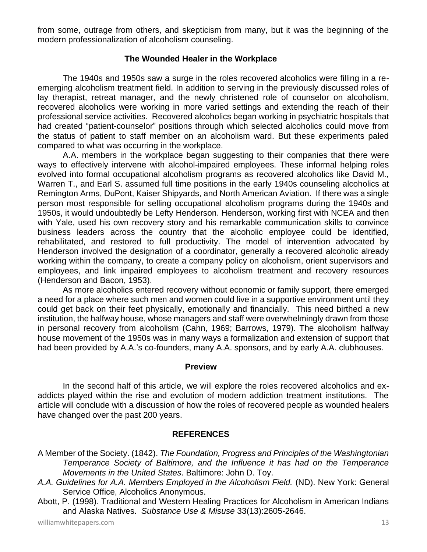from some, outrage from others, and skepticism from many, but it was the beginning of the modern professionalization of alcoholism counseling.

# **The Wounded Healer in the Workplace**

The 1940s and 1950s saw a surge in the roles recovered alcoholics were filling in a reemerging alcoholism treatment field. In addition to serving in the previously discussed roles of lay therapist, retreat manager, and the newly christened role of counselor on alcoholism, recovered alcoholics were working in more varied settings and extending the reach of their professional service activities. Recovered alcoholics began working in psychiatric hospitals that had created "patient-counselor" positions through which selected alcoholics could move from the status of patient to staff member on an alcoholism ward. But these experiments paled compared to what was occurring in the workplace.

A.A. members in the workplace began suggesting to their companies that there were ways to effectively intervene with alcohol-impaired employees. These informal helping roles evolved into formal occupational alcoholism programs as recovered alcoholics like David M., Warren T., and Earl S. assumed full time positions in the early 1940s counseling alcoholics at Remington Arms, DuPont, Kaiser Shipyards, and North American Aviation. If there was a single person most responsible for selling occupational alcoholism programs during the 1940s and 1950s, it would undoubtedly be Lefty Henderson. Henderson, working first with NCEA and then with Yale, used his own recovery story and his remarkable communication skills to convince business leaders across the country that the alcoholic employee could be identified, rehabilitated, and restored to full productivity. The model of intervention advocated by Henderson involved the designation of a coordinator, generally a recovered alcoholic already working within the company, to create a company policy on alcoholism, orient supervisors and employees, and link impaired employees to alcoholism treatment and recovery resources (Henderson and Bacon, 1953).

As more alcoholics entered recovery without economic or family support, there emerged a need for a place where such men and women could live in a supportive environment until they could get back on their feet physically, emotionally and financially. This need birthed a new institution, the halfway house, whose managers and staff were overwhelmingly drawn from those in personal recovery from alcoholism (Cahn, 1969; Barrows, 1979). The alcoholism halfway house movement of the 1950s was in many ways a formalization and extension of support that had been provided by A.A.'s co-founders, many A.A. sponsors, and by early A.A. clubhouses.

#### **Preview**

In the second half of this article, we will explore the roles recovered alcoholics and exaddicts played within the rise and evolution of modern addiction treatment institutions. The article will conclude with a discussion of how the roles of recovered people as wounded healers have changed over the past 200 years.

# **REFERENCES**

- A Member of the Society. (1842). *The Foundation, Progress and Principles of the Washingtonian Temperance Society of Baltimore, and the Influence it has had on the Temperance Movements in the United States*. Baltimore: John D. Toy.
- *A.A. Guidelines for A.A. Members Employed in the Alcoholism Field.* (ND). New York: General Service Office, Alcoholics Anonymous.
- Abott, P. (1998). Traditional and Western Healing Practices for Alcoholism in American Indians and Alaska Natives. *Substance Use & Misuse* 33(13):2605-2646.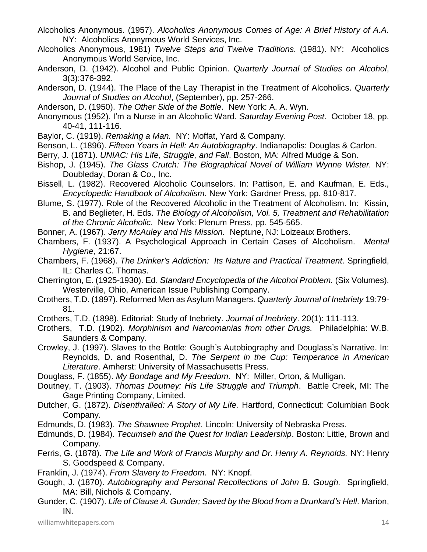- Alcoholics Anonymous. (1957). *Alcoholics Anonymous Comes of Age: A Brief History of A.A.* NY: Alcoholics Anonymous World Services, Inc.
- Alcoholics Anonymous, 1981) *Twelve Steps and Twelve Traditions.* (1981). NY: Alcoholics Anonymous World Service, Inc.
- Anderson, D. (1942). Alcohol and Public Opinion. *Quarterly Journal of Studies on Alcohol*, 3(3):376-392.
- Anderson, D. (1944). The Place of the Lay Therapist in the Treatment of Alcoholics. *Quarterly Journal of Studies on Alcohol*, (September), pp. 257-266.
- Anderson, D. (1950). *The Other Side of the Bottle*. New York: A. A. Wyn.
- Anonymous (1952). I'm a Nurse in an Alcoholic Ward. *Saturday Evening Post*. October 18, pp. 40-41, 111-116.
- Baylor, C. (1919). *Remaking a Man.* NY: Moffat, Yard & Company.
- Benson, L. (1896). *Fifteen Years in Hell: An Autobiography*. Indianapolis: Douglas & Carlon.
- Berry, J. (1871). *UNIAC: His Life, Struggle, and Fall*. Boston, MA: Alfred Mudge & Son.
- Bishop, J. (1945). *The Glass Crutch: The Biographical Novel of William Wynne Wister.* NY: Doubleday, Doran & Co., Inc.
- Bissell, L. (1982). Recovered Alcoholic Counselors. In: Pattison, E. and Kaufman, E. Eds., *Encyclopedic Handbook of Alcoholism.* New York: Gardner Press, pp. 810-817.
- Blume, S. (1977). Role of the Recovered Alcoholic in the Treatment of Alcoholism. In: Kissin, B. and Beglieter, H. Eds. *The Biology of Alcoholism, Vol. 5, Treatment and Rehabilitation of the Chronic Alcoholic.* New York: Plenum Press, pp. 545-565.
- Bonner, A. (1967). *Jerry McAuley and His Mission.* Neptune, NJ: Loizeaux Brothers.
- Chambers, F. (1937). A Psychological Approach in Certain Cases of Alcoholism. *Mental Hygiene,* 21:67.
- Chambers, F. (1968). *The Drinker's Addiction: Its Nature and Practical Treatment*. Springfield, IL: Charles C. Thomas.
- Cherrington, E. (1925-1930). Ed. *Standard Encyclopedia of the Alcohol Problem.* (Six Volumes). Westerville, Ohio, American Issue Publishing Company.
- Crothers, T.D. (1897). Reformed Men as Asylum Managers. *Quarterly Journal of Inebriety* 19:79- 81.
- Crothers, T.D. (1898). Editorial: Study of Inebriety. *Journal of Inebriety*. 20(1): 111-113.
- Crothers, T.D. (1902). *Morphinism and Narcomanias from other Drugs.* Philadelphia: W.B. Saunders & Company.
- Crowley, J. (1997). Slaves to the Bottle: Gough's Autobiography and Douglass's Narrative. In: Reynolds, D. and Rosenthal, D. *The Serpent in the Cup: Temperance in American Literature*. Amherst: University of Massachusetts Press.
- Douglass, F. (1855). *My Bondage and My Freedom*. NY: Miller, Orton, & Mulligan.
- Doutney, T. (1903). *Thomas Doutney: His Life Struggle and Triumph*. Battle Creek, MI: The Gage Printing Company, Limited.
- Dutcher, G. (1872). *Disenthralled: A Story of My Life.* Hartford, Connecticut: Columbian Book Company.
- Edmunds, D. (1983). *The Shawnee Prophet*. Lincoln: University of Nebraska Press.
- Edmunds, D. (1984). *Tecumseh and the Quest for Indian Leadership*. Boston: Little, Brown and Company.
- Ferris, G. (1878). *The Life and Work of Francis Murphy and Dr. Henry A. Reynolds.* NY: Henry S. Goodspeed & Company.
- Franklin, J. (1974). *From Slavery to Freedom.* NY: Knopf.
- Gough, J. (1870). *Autobiography and Personal Recollections of John B. Gough.* Springfield, MA: Bill, Nichols & Company.
- Gunder, C. (1907). *Life of Clause A. Gunder; Saved by the Blood from a Drunkard's Hell*. Marion, IN.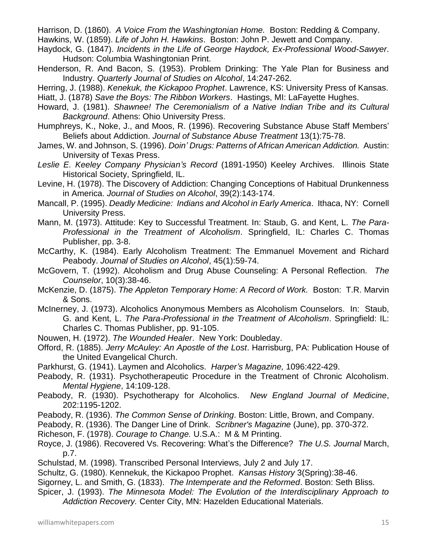Harrison, D. (1860). *A Voice From the Washingtonian Home.* Boston: Redding & Company.

- Hawkins, W. (1859). *Life of John H. Hawkins*. Boston: John P. Jewett and Company.
- Haydock, G. (1847). *Incidents in the Life of George Haydock, Ex-Professional Wood-Sawyer*. Hudson: Columbia Washingtonian Print.
- Henderson, R. And Bacon, S. (1953). Problem Drinking: The Yale Plan for Business and Industry. *Quarterly Journal of Studies on Alcohol*, 14:247-262.
- Herring, J. (1988). *Kenekuk, the Kickapoo Prophet*. Lawrence, KS: University Press of Kansas.
- Hiatt, J. (1878) *Save the Boys: The Ribbon Workers*. Hastings, MI: LaFayette Hughes.
- Howard, J. (1981). *Shawnee! The Ceremonialism of a Native Indian Tribe and its Cultural Background*. Athens: Ohio University Press.
- Humphreys, K., Noke, J., and Moos, R. (1996). Recovering Substance Abuse Staff Members' Beliefs about Addiction. *Journal of Substance Abuse Treatment* 13(1):75-78.
- James, W. and Johnson, S. (1996). *Doin' Drugs: Patterns of African American Addiction.* Austin: University of Texas Press.
- *Leslie E. Keeley Company Physician's Record* (1891-1950) Keeley Archives. Illinois State Historical Society, Springfield, IL.
- Levine, H. (1978). The Discovery of Addiction: Changing Conceptions of Habitual Drunkenness in America. *Journal of Studies on Alcohol*, 39(2):143-174.
- Mancall, P. (1995). *Deadly Medicine: Indians and Alcohol in Early America*. Ithaca, NY: Cornell University Press.
- Mann, M. (1973). Attitude: Key to Successful Treatment. In: Staub, G. and Kent, L. *The Para-Professional in the Treatment of Alcoholism*. Springfield, IL: Charles C. Thomas Publisher, pp. 3-8.
- McCarthy, K. (1984). Early Alcoholism Treatment: The Emmanuel Movement and Richard Peabody. *Journal of Studies on Alcohol*, 45(1):59-74.
- McGovern, T. (1992). Alcoholism and Drug Abuse Counseling: A Personal Reflection. *The Counselor*, 10(3):38-46.
- McKenzie, D. (1875). *The Appleton Temporary Home: A Record of Work.* Boston: T.R. Marvin & Sons.
- McInerney, J. (1973). Alcoholics Anonymous Members as Alcoholism Counselors. In: Staub, G. and Kent, L. *The Para-Professional in the Treatment of Alcoholism*. Springfield: IL: Charles C. Thomas Publisher, pp. 91-105.
- Nouwen, H. (1972). *The Wounded Healer*. New York: Doubleday.
- Offord, R. (1885). *Jerry McAuley: An Apostle of the Lost*. Harrisburg, PA: Publication House of the United Evangelical Church.
- Parkhurst, G. (1941). Laymen and Alcoholics. *Harper's Magazine,* 1096:422-429.
- Peabody, R. (1931). Psychotherapeutic Procedure in the Treatment of Chronic Alcoholism. *Mental Hygiene*, 14:109-128.
- Peabody, R. (1930). Psychotherapy for Alcoholics. *New England Journal of Medicine*, 202:1195-1202.
- Peabody, R. (1936). *The Common Sense of Drinking*. Boston: Little, Brown, and Company.
- Peabody, R. (1936). The Danger Line of Drink. *Scribner's Magazine* (June), pp. 370-372.
- Richeson, F. (1978). *Courage to Change.* U.S.A.: M & M Printing.
- Royce, J. (1986). Recovered Vs. Recovering: What's the Difference? *The U.S. Journal* March, p.7.
- Schulstad, M. (1998). Transcribed Personal Interviews, July 2 and July 17.
- Schultz, G. (1980). Kennekuk, the Kickapoo Prophet. *Kansas History* 3(Spring):38-46.
- Sigorney, L. and Smith, G. (1833). *The Intemperate and the Reformed*. Boston: Seth Bliss.
- Spicer, J. (1993). *The Minnesota Model: The Evolution of the Interdisciplinary Approach to Addiction Recovery.* Center City, MN: Hazelden Educational Materials.